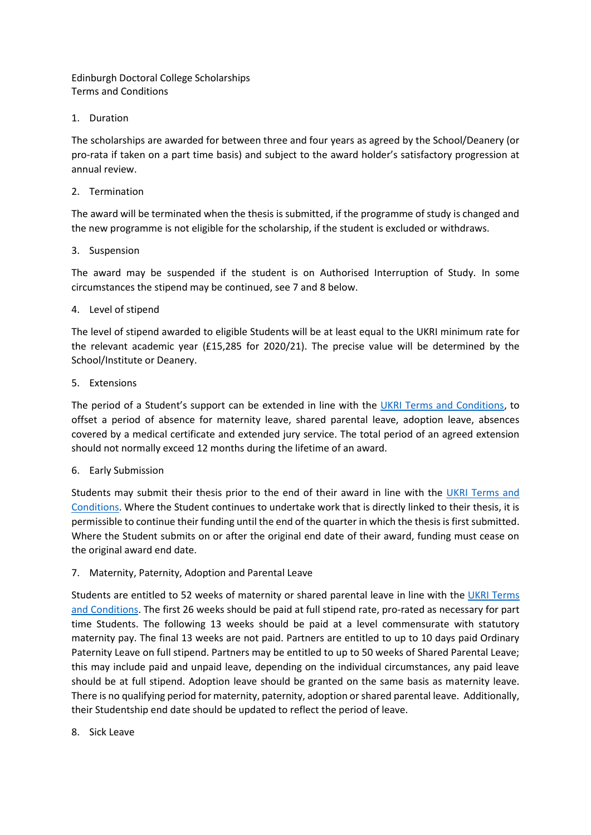Edinburgh Doctoral College Scholarships Terms and Conditions

1. Duration

The scholarships are awarded for between three and four years as agreed by the School/Deanery (or pro-rata if taken on a part time basis) and subject to the award holder's satisfactory progression at annual review.

## 2. Termination

The award will be terminated when the thesis is submitted, if the programme of study is changed and the new programme is not eligible for the scholarship, if the student is excluded or withdraws.

# 3. Suspension

The award may be suspended if the student is on Authorised Interruption of Study. In some circumstances the stipend may be continued, see [7](#page-0-0) and [8](#page-0-1) below.

# 4. Level of stipend

The level of stipend awarded to eligible Students will be at least equal to the UKRI minimum rate for the relevant academic year (£15,285 for 2020/21). The precise value will be determined by the School/Institute or Deanery.

# 5. Extensions

The period of a Student's support can be extended in line with the [UKRI Terms and Conditions,](https://www.ukri.org/files/funding/ukri-training-grant-terms-and-conditions-pdf/) to offset a period of absence for maternity leave, shared parental leave, adoption leave, absences covered by a medical certificate and extended jury service. The total period of an agreed extension should not normally exceed 12 months during the lifetime of an award.

#### 6. Early Submission

Students may submit their thesis prior to the end of their award in line with the UKRI Terms and [Conditions.](https://www.ukri.org/files/funding/ukri-training-grant-terms-and-conditions-pdf/) Where the Student continues to undertake work that is directly linked to their thesis, it is permissible to continue their funding until the end of the quarter in which the thesis is first submitted. Where the Student submits on or after the original end date of their award, funding must cease on the original award end date.

# <span id="page-0-0"></span>7. Maternity, Paternity, Adoption and Parental Leave

Students are entitled to 52 weeks of maternity or shared parental leave in line with the [UKRI Terms](https://www.ukri.org/files/funding/ukri-training-grant-terms-and-conditions-pdf/)  [and Conditions.](https://www.ukri.org/files/funding/ukri-training-grant-terms-and-conditions-pdf/) The first 26 weeks should be paid at full stipend rate, pro-rated as necessary for part time Students. The following 13 weeks should be paid at a level commensurate with statutory maternity pay. The final 13 weeks are not paid. Partners are entitled to up to 10 days paid Ordinary Paternity Leave on full stipend. Partners may be entitled to up to 50 weeks of Shared Parental Leave; this may include paid and unpaid leave, depending on the individual circumstances, any paid leave should be at full stipend. Adoption leave should be granted on the same basis as maternity leave. There is no qualifying period for maternity, paternity, adoption or shared parental leave. Additionally, their Studentship end date should be updated to reflect the period of leave.

<span id="page-0-1"></span>8. Sick Leave